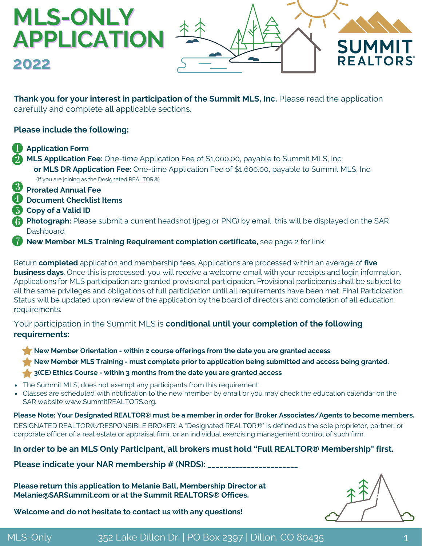### **MLS-ONLY APPLICATION SUMM REALTORS 2022**

**Thank you for your interest in participation of the Summit MLS, Inc.** Please read the application carefully and complete all applicable sections.

#### **Please include the following:**

- **Application Form**
- **MLS Application Fee:** One-time Application Fee of \$1,000.00, payable to Summit MLS, Inc.  **or MLS DR Application Fee:** One-time Application Fee of \$1,600.00, payable to Summit MLS, Inc. (If you are joining as the Designated REALTOR®)
- **8** Prorated Annual Fee
- **Document Checklist Items**
- **F** Copy of a Valid ID
- **Photograph:** Please submit a current headshot (jpeg or PNG) by email, this will be displayed on the SAR **Dashboard**
- **17 New Member MLS Training Requirement completion certificate,** see page 2 for link

Return **completed** application and membership fees. Applications are processed within an average of **five business days**. Once this is processed, you will receive a welcome email with your receipts and login information. Applications for MLS participation are granted provisional participation. Provisional participants shall be subject to all the same privileges and obligations of full participation until all requirements have been met. Final Participation Status will be updated upon review of the application by the board of directors and completion of all education requirements.

#### Your participation in the Summit MLS is **conditional until your completion of the following requirements:**

**New Member Orientation - within 2 course offerings from the date you are granted access** 

**New Member MLS Training - must complete prior to application being submitted and access being granted.** 

- **3(CE) Ethics Course within 3 months from the date you are granted access**
- The Summit MLS, does not exempt any participants from this requirement.
- [Classes are scheduled with notification to the new member by email or you may check the education calendar on the](https://summitrealtors.org/events/) SAR website www.SummitREALTORS.org.

**Please Note: Your Designated REALTOR® must be a member in order for Broker Associates/Agents to become members.** DESIGNATED REALTOR®/RESPONSIBLE BROKER: A "Designated REALTOR®" is defined as the sole proprietor, partner, or corporate officer of a real estate or appraisal firm, or an individual exercising management control of such firm.

**In order to be an MLS Only Participant, all brokers must hold "Full REALTOR® Membership" first.**

Please indicate your NAR membership # (NRDS): \_\_\_\_\_\_\_\_\_\_\_\_\_\_\_\_\_\_\_\_\_\_\_\_\_\_\_\_\_\_\_\_\_\_\_

**Please return this application to Melanie Ball, Membership Director at Melanie@SARSummit.com or at the Summit REALTORS® Offices.**



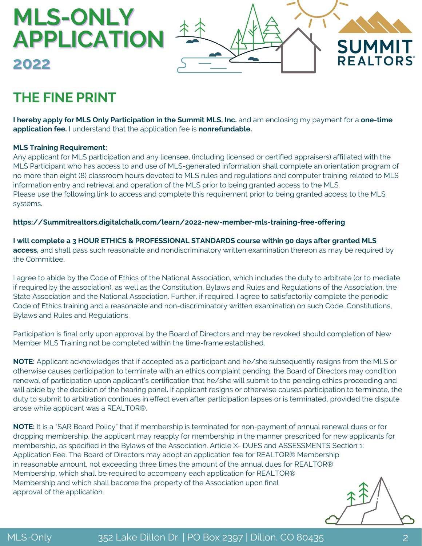# **APPLICATION SUMMIT REALTORS**

## **THE FINE PRINT**

**2022**

**MLS-ONLY**

**I hereby apply for MLS Only Participation in the Summit MLS, Inc.** and am enclosing my payment for a **one-time application fee.** I understand that the application fee is **nonrefundable.**

#### **MLS Training Requirement:**

Any applicant for MLS participation and any licensee, (including licensed or certified appraisers) affiliated with the MLS Participant who has access to and use of MLS-generated information shall complete an orientation program of no more than eight (8) classroom hours devoted to MLS rules and regulations and computer training related to MLS information entry and retrieval and operation of the MLS prior to being granted access to the MLS. Please use the following link to access and complete this requirement prior to being granted access to the MLS systems.

**[https://Summitrealtors.digitalchalk.com/learn/2022-new-member-mls-training-free-offering](https://summitrealtors.digitalchalk.com/learn/2022-new-member-mls-training-free-offering)**

**I will complete a 3 HOUR ETHICS & PROFESSIONAL STANDARDS course within 90 days after granted MLS access,** and shall pass such reasonable and nondiscriminatory written examination thereon as may be required by the Committee.

I agree to abide by the Code of Ethics of the National Association, which includes the duty to arbitrate (or to mediate if required by the association), as well as the Constitution, Bylaws and Rules and Regulations of the Association, the State Association and the National Association. Further, if required, I agree to satisfactorily complete the periodic Code of Ethics training and a reasonable and non-discriminatory written examination on such Code, Constitutions, Bylaws and Rules and Regulations.

Participation is final only upon approval by the Board of Directors and may be revoked should completion of New Member MLS Training not be completed within the time-frame established.

**NOTE:** Applicant acknowledges that if accepted as a participant and he/she subsequently resigns from the MLS or otherwise causes participation to terminate with an ethics complaint pending, the Board of Directors may condition renewal of participation upon applicant's certification that he/she will submit to the pending ethics proceeding and will abide by the decision of the hearing panel. If applicant resigns or otherwise causes participation to terminate, the duty to submit to arbitration continues in effect even after participation lapses or is terminated, provided the dispute arose while applicant was a REALTOR®.

**NOTE:** It is a "SAR Board Policy" that if membership is terminated for non-payment of annual renewal dues or for dropping membership, the applicant may reapply for membership in the manner prescribed for new applicants for membership, as specified in the Bylaws of the Association. Article X- DUES and ASSESSMENTS Section 1: Application Fee. The Board of Directors may adopt an application fee for REALTOR® Membership in reasonable amount, not exceeding three times the amount of the annual dues for REALTOR® Membership, which shall be required to accompany each application for REALTOR® Membership and which shall become the property of the Association upon final approval of the application.

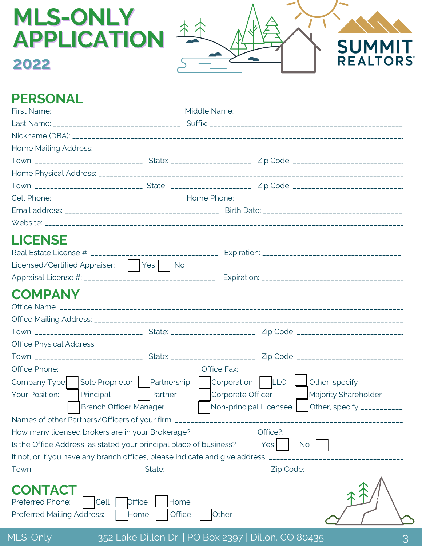

### **PERSONAL**

**2022**

**MLS-ONLY**

| <b>LICENSE</b><br>Licensed/Certified Appraiser: Ves No                                                                     |                                                                                                                |  |  |
|----------------------------------------------------------------------------------------------------------------------------|----------------------------------------------------------------------------------------------------------------|--|--|
|                                                                                                                            |                                                                                                                |  |  |
| <b>COMPANY</b>                                                                                                             |                                                                                                                |  |  |
|                                                                                                                            |                                                                                                                |  |  |
|                                                                                                                            |                                                                                                                |  |  |
|                                                                                                                            |                                                                                                                |  |  |
|                                                                                                                            |                                                                                                                |  |  |
| Sole Proprietor   Partnership   Corporation   LLC<br>Company Type                                                          | Other, specify ___________                                                                                     |  |  |
| Principal<br>Partner<br>Your Position:<br><b>Branch Officer Manager</b>                                                    | Corporate Officer<br>Majority Shareholder<br>Non-principal Licensee<br>Other, specify ___________              |  |  |
|                                                                                                                            |                                                                                                                |  |  |
| How many licensed brokers are in your Brokerage?: ______________                                                           |                                                                                                                |  |  |
| Is the Office Address, as stated your principal place of business?                                                         | <b>Yes</b><br><b>No</b>                                                                                        |  |  |
|                                                                                                                            | If not, or if you have any branch offices, please indicate and give address: _________________________________ |  |  |
|                                                                                                                            | Town: __________________________________State: _________________________________ Zip Code: ___________________ |  |  |
| <b>CONTACT</b><br>Home<br>Preferred Phone:<br><b>Office</b><br>Cell<br>Office<br><b>Preferred Mailing Address:</b><br>Home | Other                                                                                                          |  |  |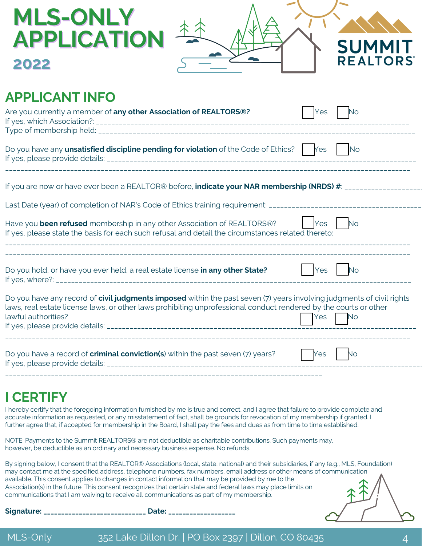| <b>MLS-ONLY</b><br><b>APPLICATION</b>                                                                                                                                                                                                                            |     | <b>SUMMIT</b>               |
|------------------------------------------------------------------------------------------------------------------------------------------------------------------------------------------------------------------------------------------------------------------|-----|-----------------------------|
| 2022                                                                                                                                                                                                                                                             |     | <b>REALTORS</b>             |
| <b>APPLICANT INFO</b>                                                                                                                                                                                                                                            |     |                             |
| Are you currently a member of any other Association of REALTORS®?                                                                                                                                                                                                | Yes | No                          |
| Do you have any <b>unsatisfied discipline pending for violation</b> of the Code of Ethics? $\begin{bmatrix} \n\end{bmatrix}$ $\begin{bmatrix} N \infty \\ \n\end{bmatrix}$                                                                                       |     |                             |
|                                                                                                                                                                                                                                                                  |     |                             |
|                                                                                                                                                                                                                                                                  |     |                             |
| Have you been refused membership in any other Association of REALTORS®?<br>If yes, please state the basis for each such refusal and detail the circumstances related thereto:                                                                                    | Yes | $\overline{\phantom{a}}$ No |
| Do you hold, or have you ever held, a real estate license in any other State?                                                                                                                                                                                    | Yes | <b>No</b>                   |
| Do you have any record of civil judgments imposed within the past seven (7) years involving judgments of civil rights<br>laws, real estate license laws, or other laws prohibiting unprofessional conduct rendered by the courts or other<br>lawful authorities? | Yes | <b>No</b>                   |
| Do you have a record of <b>criminal conviction(s</b> ) within the past seven (7) years?                                                                                                                                                                          | Yes | No.                         |
| <u>I CEDTIFV</u>                                                                                                                                                                                                                                                 |     |                             |

**I CERTIFY**

I hereby certify that the foregoing information furnished by me is true and correct, and I agree that failure to provide complete and accurate information as requested, or any misstatement of fact, shall be grounds for revocation of my membership if granted. I further agree that, if accepted for membership in the Board, I shall pay the fees and dues as from time to time established.

NOTE: Payments to the Summit REALTORS® are not deductible as charitable contributions. Such payments may, however, be deductible as an ordinary and necessary business expense. No refunds.

By signing below, I consent that the REALTOR® Associations (local, state, national) and their subsidiaries, if any (e.g., MLS, Foundation) may contact me at the specified address, telephone numbers, fax numbers, email address or other means of communication available. This consent applies to changes in contact information that may be provided by me to the Association(s) in the future. This consent recognizes that certain state and federal laws may place limits on communications that I am waiving to receive all communications as part of my membership.

**Signature: \_\_\_\_\_\_\_\_\_\_\_\_\_\_\_\_\_\_\_\_\_\_\_\_\_\_\_\_\_ Date: \_\_\_\_\_\_\_\_\_\_\_\_\_\_\_\_\_\_\_**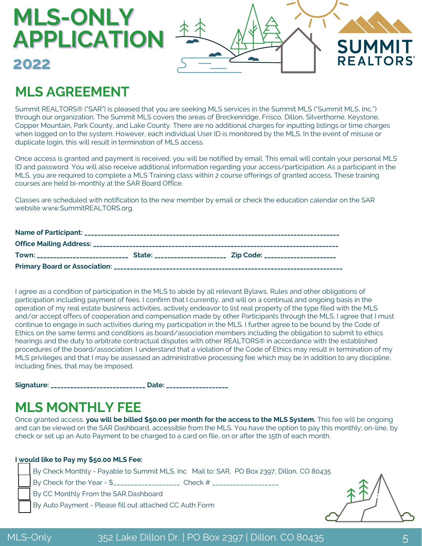# **MLS-ONLY APPLICATION 2022**



## **MLS AGREEMENT**

Summit REALTORS® ("SAR") is pleased that you are seeking MLS services in the Summit MLS ("Summit MLS, Inc.") through our organization. The Summit MLS covers the areas of Breckenridge, Frisco, Dillon, Silverthorne, Keystone, Copper Mountain, Park County, and Lake County. There are no additional charges for inputting listings or time charges when logged on to the system. However, each individual User ID is monitored by the MLS. In the event of misuse or duplicate login, this will result in termination of MLS access.

Once access is granted and payment is received, you will be notified by email. This email will contain your personal MLS ID and password. You will also receive additional information regarding your access/participation. As a participant in the MLS, you are required to complete a MLS Training class within 2 course offerings of granted access. These training courses are held bi-monthly at the SAR Board Office.

Classes are scheduled with notification to the new member by email or check the education calendar on the SAR website www.SummitREALTORS.org.

I agree as a condition of participation in the MLS to abide by all relevant Bylaws, Rules and other obligations of participation including payment of fees. I confirm that I currently, and will on a continual and ongoing basis in the operation of my real estate business activities, actively endeavor to list real property of the type filed with the MLS and/or accept offers of cooperation and compensation made by other Participants through the MLS. I agree that I must continue to engage in such activities during my participation in the MLS. I further agree to be bound by the Code of Ethics on the same terms and conditions as board/association members including the obligation to submit to ethics hearings and the duty to arbitrate contractual disputes with other REALTORS® in accordance with the established procedures of the board/association. I understand that a violation of the Code of Ethics may result in termination of my MLS privileges and that I may be assessed an administrative processing fee which may be in addition to any discipline, including fines, that may be imposed.

**Signature: \_\_\_\_\_\_\_\_\_\_\_\_\_\_\_\_\_\_\_\_\_\_\_\_\_\_\_\_\_ Date: \_\_\_\_\_\_\_\_\_\_\_\_\_\_\_\_\_\_\_**

### **MLS MONTHLY FEE**

Once granted access, **you will be billed \$50.00 per month for the access to the MLS System.** This fee will be ongoing and can be viewed on the SAR Dashboard, accessible from the MLS. You have the option to pay this monthly; on-line, by check or set up an Auto Payment to be charged to a card on file, on or after the 15th of each month.

#### **I would like to Pay my \$50.00 MLS Fee:**

By Check Monthly - Payable to Summit MLS, Inc Mail to: SAR, PO Box 2397, Dillon, CO 80435 By Check for the Year - \$\_\_\_\_\_\_\_\_\_\_\_\_\_\_\_\_\_\_\_\_\_\_ Check # \_\_\_\_\_\_\_\_\_\_\_\_\_\_\_\_\_\_\_\_\_\_\_\_ By CC Monthly From the SAR Dashboard By Auto Payment - Please fill out attached CC Auth Form

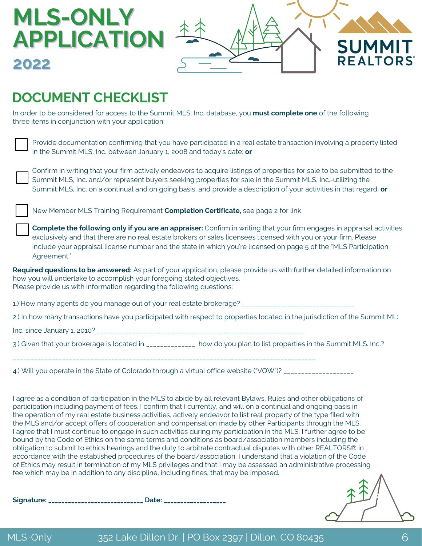

### **DOCUMENT CHECKLIST**

**MLS-ONLY**

**2022**

In order to be considered for access to the Summit MLS, Inc. database, you **must complete one** of the following three items in conjunction with your application:

| Provide documentation confirming that you have participated in a real estate transaction involving a property listed |
|----------------------------------------------------------------------------------------------------------------------|
| $\overline{\phantom{a}}$ in the Summit MLS, Inc. between January 1, 2008 and today's date; <b>or</b>                 |

Confirm in writing that your firm actively endeavors to acquire listings of properties for sale to be submitted to the Summit MLS, Inc. and/or represent buyers seeking properties for sale in the Summit MLS, Inc.-utilizing the Summit MLS, Inc. on a continual and on going basis, and provide a description of your activities in that regard; **or**

New Member MLS Training Requirement **Completion Certificate,** see page 2 for link

**Complete the following only if you are an appraiser:** Confirm in writing that your firm engages in appraisal activities exclusively and that there are no real estate brokers or sales licensees licensed with you or your firm. Please include your appraisal license number and the state in which you're licensed on page 5 of the "MLS Participation Agreement."

**Required questions to be answered:** As part of your application, please provide us with further detailed information on how you will undertake to accomplish your foregoing stated objectives. Please provide us with information regarding the following questions:

1.) How many agents do you manage out of your real estate brokerage? \_\_\_\_\_\_\_\_\_\_\_\_\_\_\_\_\_\_\_\_\_\_\_\_\_\_\_\_\_\_\_\_

2.) In how many transactions have you participated with respect to properties located in the jurisdiction of the Summit ML

Inc. since January 1, 2010? \_\_\_\_\_\_\_\_\_\_\_\_\_\_\_\_\_\_\_\_\_\_\_\_\_\_\_\_\_\_\_\_\_\_\_\_\_\_\_\_\_\_\_\_\_\_\_\_\_\_\_\_\_\_\_\_\_\_\_

3.) Given that your brokerage is located in \_\_\_\_\_\_\_\_\_\_\_, how do you plan to list properties in the Summit MLS. Inc.?

\_\_\_\_\_\_\_\_\_\_\_\_\_\_\_\_\_\_\_\_\_\_\_\_\_\_\_\_\_\_\_\_\_\_\_\_\_\_\_\_\_\_\_\_\_\_\_\_\_\_\_\_\_\_\_\_\_\_\_\_\_\_\_\_\_\_\_\_\_\_\_\_\_\_\_\_\_\_\_\_\_\_\_\_\_\_

4.) Will you operate in the State of Colorado through a virtual office website ("VOW")? \_\_\_\_\_\_\_\_\_\_\_\_\_\_\_\_\_\_\_\_\_\_

I agree as a condition of participation in the MLS to abide by all relevant Bylaws, Rules and other obligations of participation including payment of fees. I confirm that I currently, and will on a continual and ongoing basis in the operation of my real estate business activities, actively endeavor to list real property of the type filed with the MLS and/or accept offers of cooperation and compensation made by other Participants through the MLS. I agree that I must continue to engage in such activities during my participation in the MLS. I further agree to be bound by the Code of Ethics on the same terms and conditions as board/association members including the obligation to submit to ethics hearings and the duty to arbitrate contractual disputes with other REALTORS® in accordance with the established procedures of the board/association. I understand that a violation of the Code of Ethics may result in termination of my MLS privileges and that I may be assessed an administrative processing fee which may be in addition to any discipline, including fines, that may be imposed.

**Signature: \_\_\_\_\_\_\_\_\_\_\_\_\_\_\_\_\_\_\_\_\_\_\_\_\_\_\_\_\_ Date: \_\_\_\_\_\_\_\_\_\_\_\_\_\_\_\_\_\_\_**



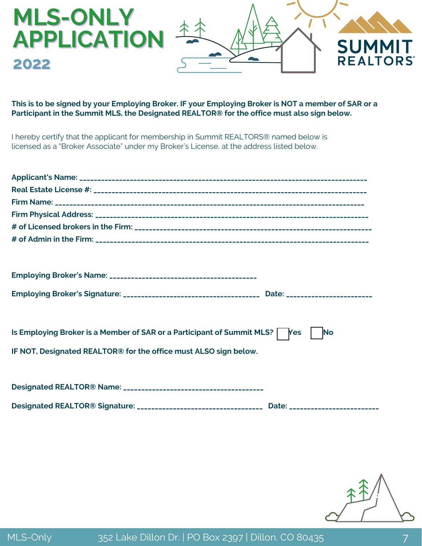

#### **This is to be signed by your Employing Broker. IF your Employing Broker is NOT a member of SAR or a Participant in the Summit MLS, the Designated REALTOR® for the office must also sign below.**

I hereby certify that the applicant for membership in Summit REALTORS® named below is licensed as a "Broker Associate" under my Broker's License, at the address listed below.

| Is Employing Broker is a Member of SAR or a Participant of Summit MLS?   Yes<br><b>No</b>           |
|-----------------------------------------------------------------------------------------------------|
| IF NOT, Designated REALTOR® for the office must ALSO sign below.                                    |
|                                                                                                     |
|                                                                                                     |
| Designated REALTOR® Signature: __________________________________ Date: ___________________________ |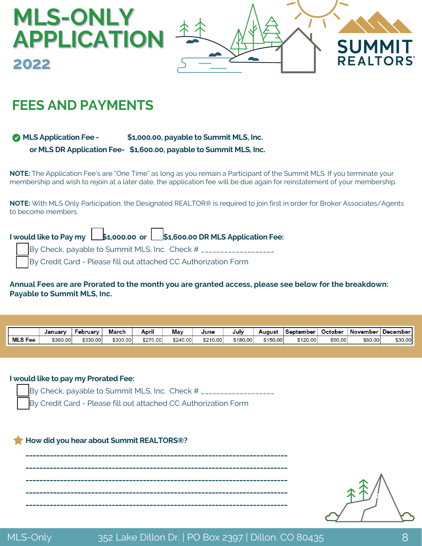

### **FEES AND PAYMENTS**

**MLS Application Fee - \$1,000.00, payable to Summit MLS, Inc. or MLS DR Application Fee- \$1,600.00, payable to Summit MLS, Inc.**

**NOTE:** The Application Fee's are "One Time" as long as you remain a Participant of the Summit MLS. If you terminate your membership and wish to rejoin at a later date, the application fee will be due again for reinstatement of your membership.

**NOTE:** With MLS Only Participation, the Designated REALTOR® is required to join first in order for Broker Associates/Agents to become members.

|  |  | I would like to Pay my   \$1,000.00 or   \$1,600.00 DR MLS Application Fee: |  |
|--|--|-----------------------------------------------------------------------------|--|
|  |  | By Check, payable to Summit MLS, Inc. Check # ________________              |  |
|  |  | By Credit Card - Please fill out attached CC Authorization Form             |  |

#### Annual Fees are are Prorated to the month you are granted access, please see below for the breakdown: **Payable to Summit MLS, Inc.**

|                | Januarv  | <b>February</b> | March    | April    | May      | June     | July     | August   | <b>September</b> | <b>October</b> | <b>November</b> | <b>December</b> |
|----------------|----------|-----------------|----------|----------|----------|----------|----------|----------|------------------|----------------|-----------------|-----------------|
| <b>MLS Fee</b> | \$360.00 | \$330.00        | \$300.00 | \$270.00 | \$240.00 | \$210.00 | \$180.00 | \$150.00 | \$120.00         | \$90.00        | \$60.00         | \$30.00         |

#### **I would like to pay my Prorated Fee:**

By Check, payable to Summit MLS, Inc. Check # \_\_\_\_\_\_\_\_\_\_\_\_\_\_\_\_\_\_\_

By Credit Card - Please fill out attached CC Authorization Form

#### **How did you hear about Summit REALTORS®?**

**\_\_\_\_\_\_\_\_\_\_\_\_\_\_\_\_\_\_\_\_\_\_\_\_\_\_\_\_\_\_\_\_\_\_\_\_\_\_\_\_\_\_\_\_\_\_\_\_\_\_\_\_\_\_\_\_\_\_\_\_\_\_\_\_\_\_\_\_\_\_\_\_\_\_\_\_ \_\_\_\_\_\_\_\_\_\_\_\_\_\_\_\_\_\_\_\_\_\_\_\_\_\_\_\_\_\_\_\_\_\_\_\_\_\_\_\_\_\_\_\_\_\_\_\_\_\_\_\_\_\_\_\_\_\_\_\_\_\_\_\_\_\_\_\_\_\_\_\_\_\_\_\_ \_\_\_\_\_\_\_\_\_\_\_\_\_\_\_\_\_\_\_\_\_\_\_\_\_\_\_\_\_\_\_\_\_\_\_\_\_\_\_\_\_\_\_\_\_\_\_\_\_\_\_\_\_\_\_\_\_\_\_\_\_\_\_\_\_\_\_\_\_\_\_\_\_\_\_\_ \_\_\_\_\_\_\_\_\_\_\_\_\_\_\_\_\_\_\_\_\_\_\_\_\_\_\_\_\_\_\_\_\_\_\_\_\_\_\_\_\_\_\_\_\_\_\_\_\_\_\_\_\_\_\_\_\_\_\_\_\_\_\_\_\_\_\_\_\_\_\_\_\_\_\_\_ \_\_\_\_\_\_\_\_\_\_\_\_\_\_\_\_\_\_\_\_\_\_\_\_\_\_\_\_\_\_\_\_\_\_\_\_\_\_\_\_\_\_\_\_\_\_\_\_\_\_\_\_\_\_\_\_\_\_\_\_\_\_\_\_\_\_\_\_\_\_\_\_\_\_\_\_**